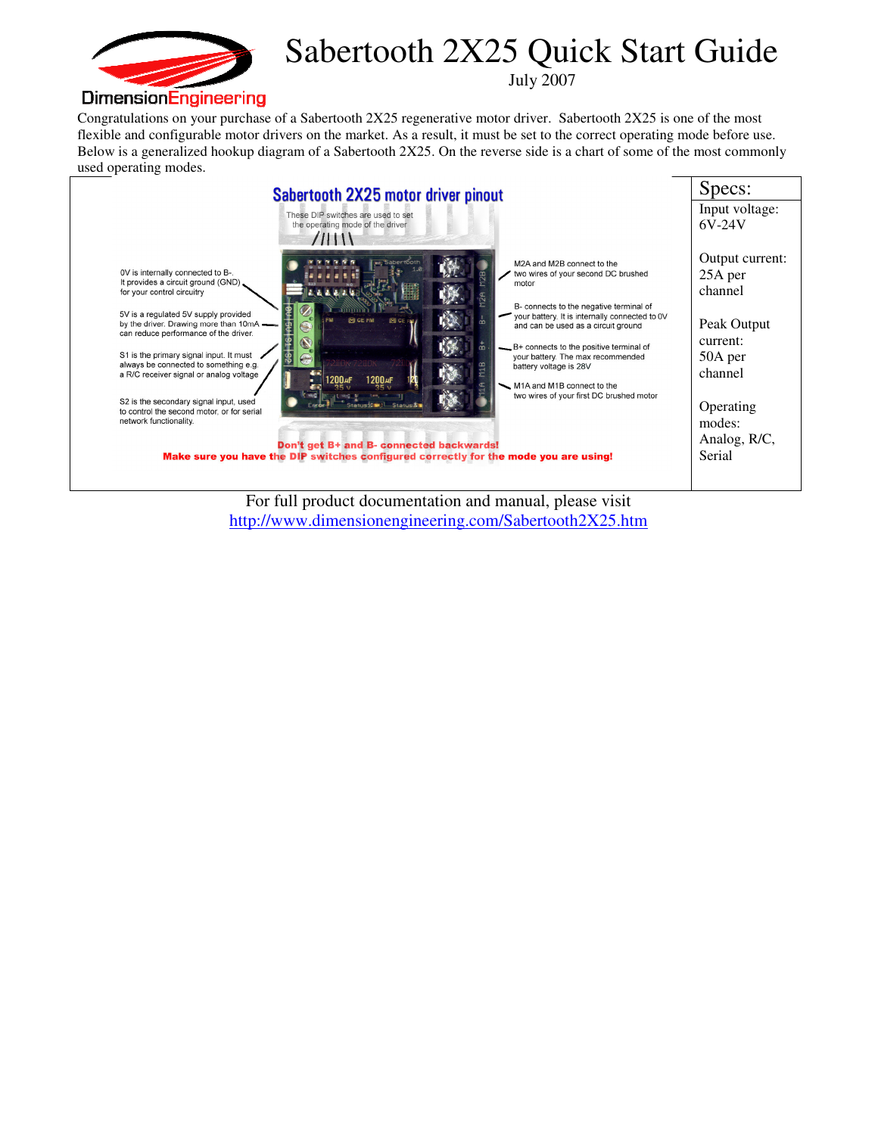

## Sabertooth 2X25 Quick Start Guide

July 2007

Congratulations on your purchase of a Sabertooth 2X25 regenerative motor driver. Sabertooth 2X25 is one of the most flexible and configurable motor drivers on the market. As a result, it must be set to the correct operating mode before use. Below is a generalized hookup diagram of a Sabertooth 2X25. On the reverse side is a chart of some of the most commonly used operating modes.



For full product documentation and manual, please visit http://www.dimensionengineering.com/Sabertooth2X25.htm